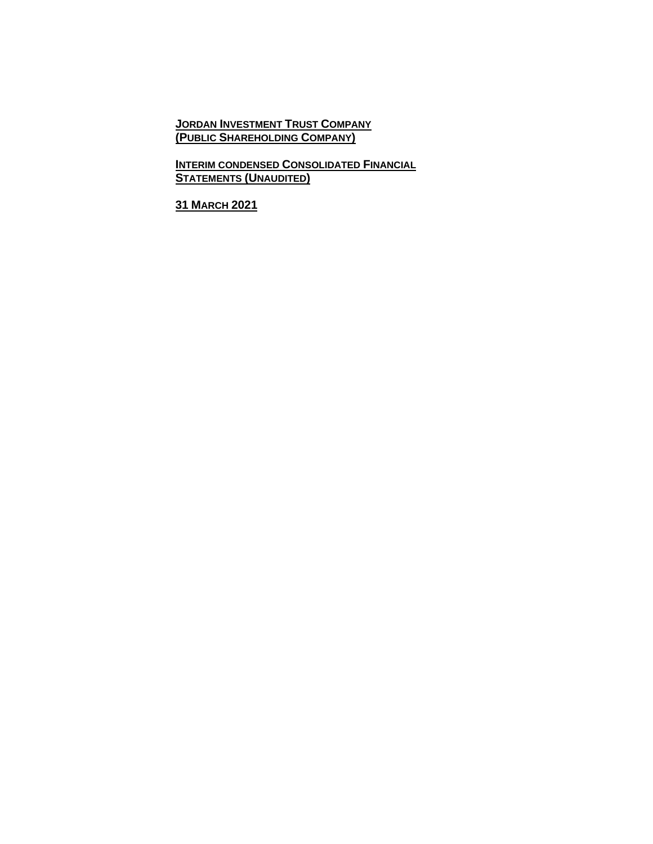**JORDAN INVESTMENT TRUST COMPANY (PUBLIC SHAREHOLDING COMPANY)**

**INTERIM CONDENSED CONSOLIDATED FINANCIAL STATEMENTS (UNAUDITED)**

**31 MARCH 2021**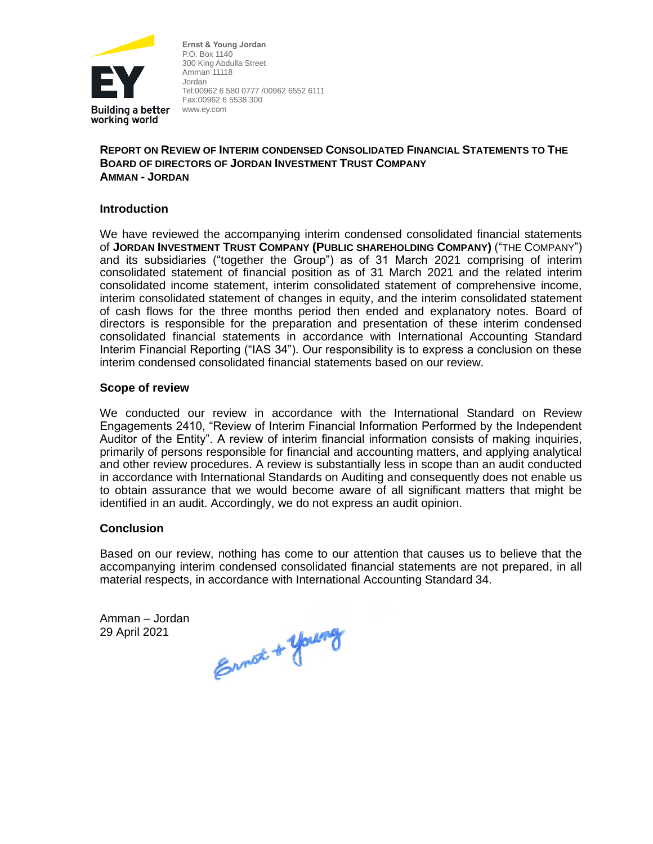

**Ernst & Young Jordan** P.O. Box 1140 300 King Abdulla Street Amman 11118 Jordan Tel:00962 6 580 0777 /00962 6552 6111 Fax:00962 6 5538 300 www.ey.com

## **REPORT ON REVIEW OF INTERIM CONDENSED CONSOLIDATED FINANCIAL STATEMENTS TO THE BOARD OF DIRECTORS OF JORDAN INVESTMENT TRUST COMPANY AMMAN - JORDAN**

# **Introduction**

We have reviewed the accompanying interim condensed consolidated financial statements of **JORDAN INVESTMENT TRUST COMPANY (PUBLIC SHAREHOLDING COMPANY)** ("THE COMPANY") and its subsidiaries ("together the Group") as of 31 March 2021 comprising of interim consolidated statement of financial position as of 31 March 2021 and the related interim consolidated income statement, interim consolidated statement of comprehensive income, interim consolidated statement of changes in equity, and the interim consolidated statement of cash flows for the three months period then ended and explanatory notes. Board of directors is responsible for the preparation and presentation of these interim condensed consolidated financial statements in accordance with International Accounting Standard Interim Financial Reporting ("IAS 34"). Our responsibility is to express a conclusion on these interim condensed consolidated financial statements based on our review.

### **Scope of review**

We conducted our review in accordance with the International Standard on Review Engagements 2410, "Review of Interim Financial Information Performed by the Independent Auditor of the Entity". A review of interim financial information consists of making inquiries, primarily of persons responsible for financial and accounting matters, and applying analytical and other review procedures. A review is substantially less in scope than an audit conducted in accordance with International Standards on Auditing and consequently does not enable us to obtain assurance that we would become aware of all significant matters that might be identified in an audit. Accordingly, we do not express an audit opinion.

#### **Conclusion**

Based on our review, nothing has come to our attention that causes us to believe that the accompanying interim condensed consolidated financial statements are not prepared, in all material respects, in accordance with International Accounting Standard 34.

Amman – Jordan 29 April 2021

Ennist & young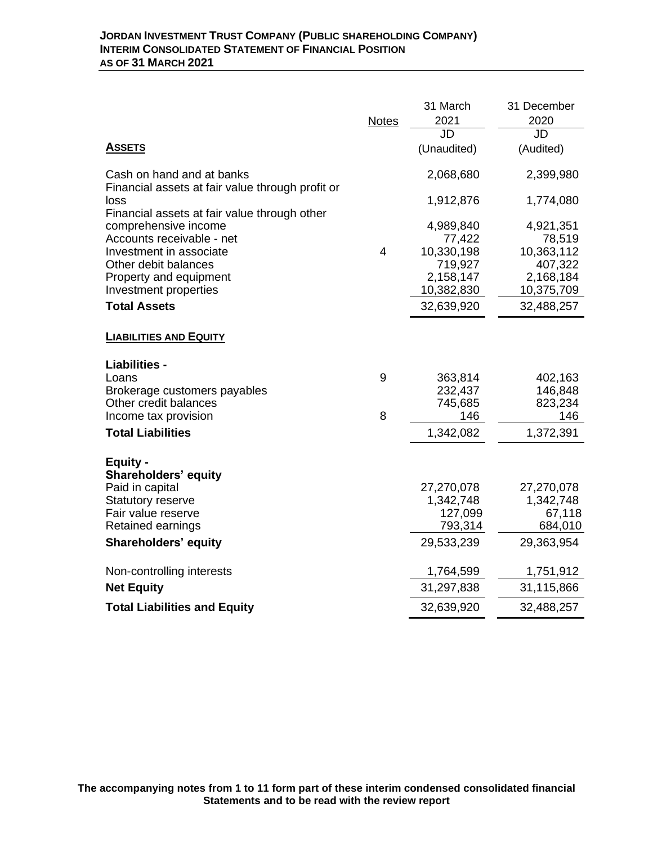|                                                                               |                | 31 March             | 31 December          |
|-------------------------------------------------------------------------------|----------------|----------------------|----------------------|
|                                                                               | <b>Notes</b>   | 2021                 | 2020                 |
|                                                                               |                | JD                   | JD                   |
| <b>ASSETS</b>                                                                 |                | (Unaudited)          | (Audited)            |
| Cash on hand and at banks<br>Financial assets at fair value through profit or |                | 2,068,680            | 2,399,980            |
| loss<br>Financial assets at fair value through other                          |                | 1,912,876            | 1,774,080            |
| comprehensive income                                                          |                | 4,989,840            | 4,921,351            |
| Accounts receivable - net<br>Investment in associate                          | $\overline{4}$ | 77,422<br>10,330,198 | 78,519<br>10,363,112 |
| Other debit balances                                                          |                | 719,927              | 407,322              |
| Property and equipment                                                        |                | 2,158,147            | 2,168,184            |
| Investment properties                                                         |                | 10,382,830           | 10,375,709           |
| <b>Total Assets</b>                                                           |                | 32,639,920           | 32,488,257           |
|                                                                               |                |                      |                      |
| <b>LIABILITIES AND EQUITY</b>                                                 |                |                      |                      |
| Liabilities -                                                                 |                |                      |                      |
| Loans                                                                         | 9              | 363,814              | 402,163              |
| Brokerage customers payables                                                  |                | 232,437              | 146,848              |
| Other credit balances                                                         |                | 745,685              | 823,234              |
| Income tax provision                                                          | 8              | 146                  | 146                  |
| <b>Total Liabilities</b>                                                      |                | 1,342,082            | 1,372,391            |
| <b>Equity -</b>                                                               |                |                      |                      |
| <b>Shareholders' equity</b>                                                   |                |                      |                      |
| Paid in capital                                                               |                | 27,270,078           | 27,270,078           |
| <b>Statutory reserve</b>                                                      |                | 1,342,748            | 1,342,748            |
| Fair value reserve                                                            |                | 127,099              | 67,118               |
| Retained earnings                                                             |                | 793,314              | 684,010              |
| Shareholders' equity                                                          |                | 29,533,239           | 29,363,954           |
| Non-controlling interests                                                     |                | 1,764,599            | 1,751,912            |
| <b>Net Equity</b>                                                             |                | 31,297,838           | 31,115,866           |
| <b>Total Liabilities and Equity</b>                                           |                | 32,639,920           | 32,488,257           |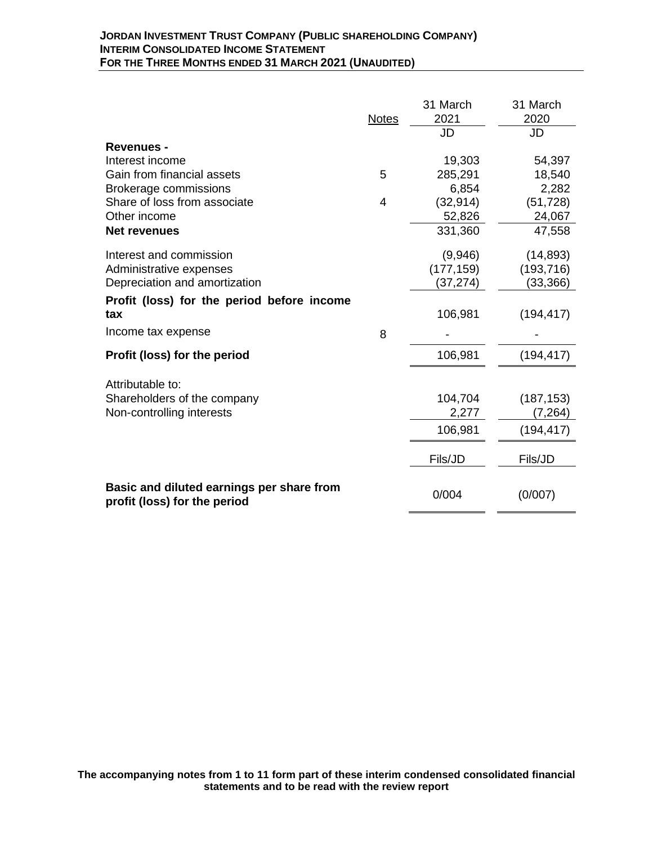|                                                                           | <b>Notes</b> | 31 March<br>2021 | 31 March<br>2020 |
|---------------------------------------------------------------------------|--------------|------------------|------------------|
|                                                                           |              | JD               | JD               |
| <b>Revenues -</b>                                                         |              |                  |                  |
| Interest income                                                           |              | 19,303           | 54,397           |
| Gain from financial assets                                                | 5            | 285,291          | 18,540           |
| <b>Brokerage commissions</b>                                              |              | 6,854            | 2,282            |
| Share of loss from associate                                              | 4            | (32, 914)        | (51, 728)        |
| Other income                                                              |              | 52,826           | 24,067           |
| <b>Net revenues</b>                                                       |              | 331,360          | 47,558           |
| Interest and commission                                                   |              | (9,946)          | (14, 893)        |
| Administrative expenses                                                   |              | (177, 159)       | (193, 716)       |
| Depreciation and amortization                                             |              | (37, 274)        | (33, 366)        |
| Profit (loss) for the period before income                                |              |                  |                  |
| tax                                                                       |              | 106,981          | (194, 417)       |
| Income tax expense                                                        | 8            |                  |                  |
| Profit (loss) for the period                                              |              | 106,981          | (194, 417)       |
| Attributable to:                                                          |              |                  |                  |
| Shareholders of the company                                               |              | 104,704          | (187, 153)       |
| Non-controlling interests                                                 |              | 2,277            | (7, 264)         |
|                                                                           |              | 106,981          | (194, 417)       |
|                                                                           |              |                  |                  |
|                                                                           |              | Fils/JD          | Fils/JD          |
|                                                                           |              |                  |                  |
| Basic and diluted earnings per share from<br>profit (loss) for the period |              | 0/004            | (0/007)          |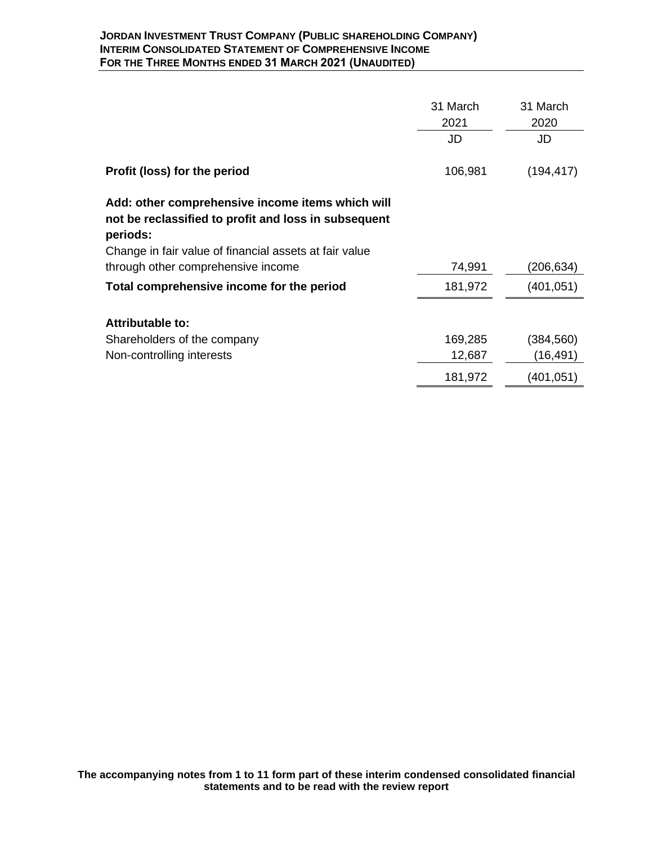|                                                                                                                      | 31 March<br>2021 | 31 March<br>2020 |
|----------------------------------------------------------------------------------------------------------------------|------------------|------------------|
|                                                                                                                      | JD               | JD               |
| Profit (loss) for the period                                                                                         | 106,981          | (194, 417)       |
| Add: other comprehensive income items which will<br>not be reclassified to profit and loss in subsequent<br>periods: |                  |                  |
| Change in fair value of financial assets at fair value                                                               |                  |                  |
| through other comprehensive income                                                                                   | 74,991           | (206,634)        |
| Total comprehensive income for the period                                                                            | 181,972          | (401,051)        |
| <b>Attributable to:</b>                                                                                              |                  |                  |
| Shareholders of the company                                                                                          | 169,285          | (384,560)        |
| Non-controlling interests                                                                                            | 12,687           | (16,491)         |
|                                                                                                                      | 181,972          | (401,051)        |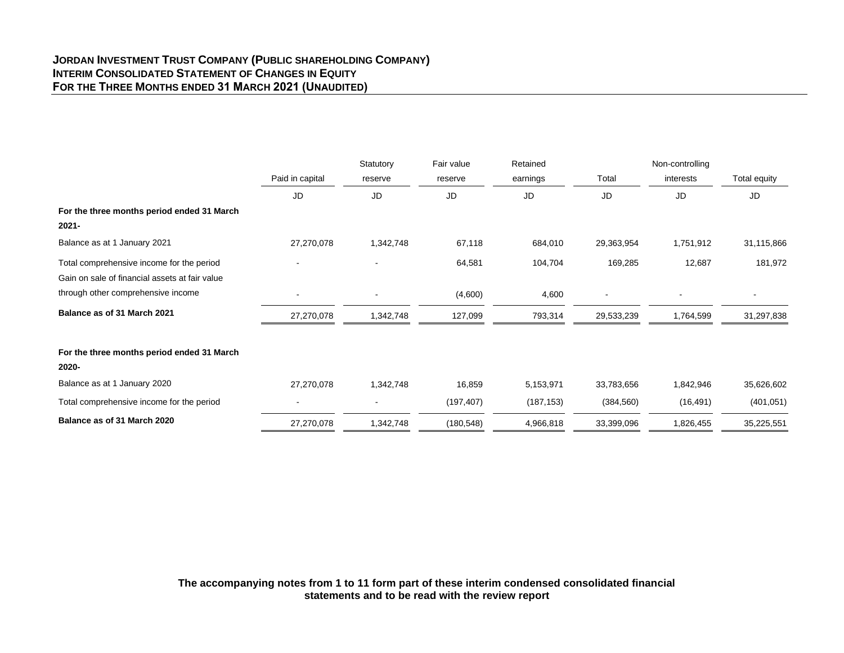#### **JORDAN INVESTMENT TRUST COMPANY (PUBLIC SHAREHOLDING COMPANY) INTERIM CONSOLIDATED STATEMENT OF CHANGES IN EQUITY FOR THE THREE MONTHS ENDED 31 MARCH 2021 (UNAUDITED)**

|                                                |                 | Statutory      | Fair value | Retained   |            | Non-controlling |              |
|------------------------------------------------|-----------------|----------------|------------|------------|------------|-----------------|--------------|
|                                                | Paid in capital | reserve        | reserve    | earnings   | Total      | interests       | Total equity |
|                                                | <b>JD</b>       | <b>JD</b>      | JD         | <b>JD</b>  | JD         | JD              | JD           |
| For the three months period ended 31 March     |                 |                |            |            |            |                 |              |
| $2021 -$                                       |                 |                |            |            |            |                 |              |
| Balance as at 1 January 2021                   | 27,270,078      | 1,342,748      | 67,118     | 684,010    | 29,363,954 | 1,751,912       | 31,115,866   |
| Total comprehensive income for the period      | $\sim$          | $\blacksquare$ | 64,581     | 104,704    | 169,285    | 12,687          | 181,972      |
| Gain on sale of financial assets at fair value |                 |                |            |            |            |                 |              |
| through other comprehensive income             |                 |                | (4,600)    | 4,600      |            |                 |              |
| Balance as of 31 March 2021                    | 27,270,078      | 1,342,748      | 127,099    | 793,314    | 29,533,239 | 1,764,599       | 31,297,838   |
| For the three months period ended 31 March     |                 |                |            |            |            |                 |              |
| 2020-                                          |                 |                |            |            |            |                 |              |
| Balance as at 1 January 2020                   | 27,270,078      | 1,342,748      | 16,859     | 5,153,971  | 33,783,656 | 1,842,946       | 35,626,602   |
| Total comprehensive income for the period      |                 |                | (197, 407) | (187, 153) | (384, 560) | (16, 491)       | (401, 051)   |
| Balance as of 31 March 2020                    | 27,270,078      | 1,342,748      | (180, 548) | 4,966,818  | 33,399,096 | 1,826,455       | 35,225,551   |

**The accompanying notes from 1 to 11 form part of these interim condensed consolidated financial statements and to be read with the review report**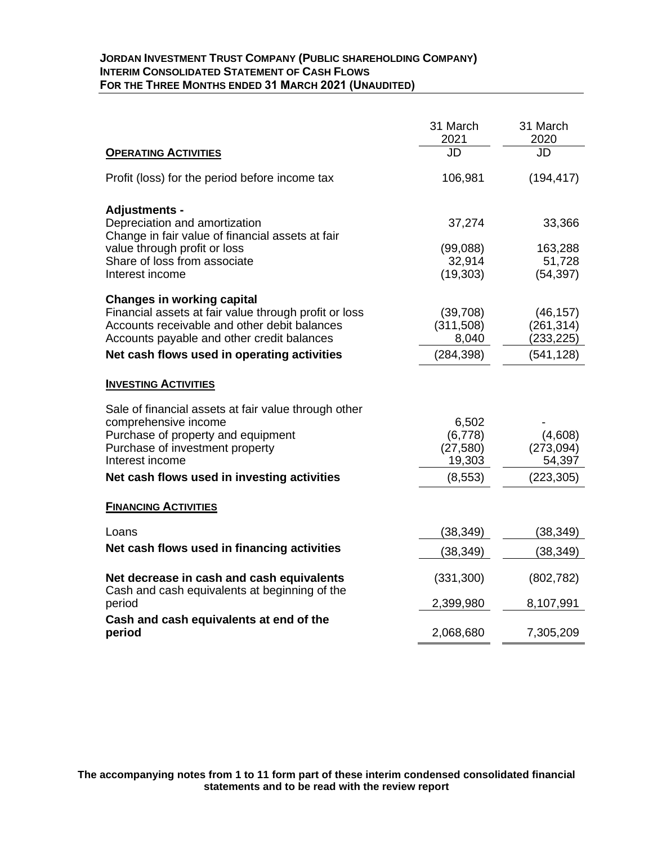### **JORDAN INVESTMENT TRUST COMPANY (PUBLIC SHAREHOLDING COMPANY) INTERIM CONSOLIDATED STATEMENT OF CASH FLOWS FOR THE THREE MONTHS ENDED 31 MARCH 2021 (UNAUDITED)**

|                                                                                            | 31 March<br>2021    | 31 March<br>2020         |
|--------------------------------------------------------------------------------------------|---------------------|--------------------------|
| <b>OPERATING ACTIVITIES</b>                                                                | JD                  | JD                       |
| Profit (loss) for the period before income tax                                             | 106,981             | (194, 417)               |
| <b>Adjustments -</b>                                                                       |                     |                          |
| Depreciation and amortization<br>Change in fair value of financial assets at fair          | 37,274              | 33,366                   |
| value through profit or loss                                                               | (99,088)            | 163,288                  |
| Share of loss from associate<br>Interest income                                            | 32,914<br>(19, 303) | 51,728<br>(54, 397)      |
|                                                                                            |                     |                          |
| <b>Changes in working capital</b><br>Financial assets at fair value through profit or loss | (39,708)            | (46, 157)                |
| Accounts receivable and other debit balances                                               | (311,508)           | (261, 314)               |
| Accounts payable and other credit balances<br>Net cash flows used in operating activities  | 8,040<br>(284, 398) | (233, 225)<br>(541, 128) |
|                                                                                            |                     |                          |
| <b>INVESTING ACTIVITIES</b>                                                                |                     |                          |
| Sale of financial assets at fair value through other                                       |                     |                          |
| comprehensive income<br>Purchase of property and equipment                                 | 6,502<br>(6,778)    | (4,608)                  |
| Purchase of investment property                                                            | (27, 580)           | (273,094)                |
| Interest income                                                                            | 19,303              | 54,397                   |
| Net cash flows used in investing activities                                                | (8, 553)            | (223, 305)               |
| <b>FINANCING ACTIVITIES</b>                                                                |                     |                          |
| Loans                                                                                      | (38, 349)           | (38, 349)                |
| Net cash flows used in financing activities                                                | (38, 349)           | (38, 349)                |
| Net decrease in cash and cash equivalents<br>Cash and cash equivalents at beginning of the | (331, 300)          | (802, 782)               |
| period                                                                                     | 2,399,980           | 8,107,991                |
| Cash and cash equivalents at end of the<br>period                                          | 2,068,680           | 7,305,209                |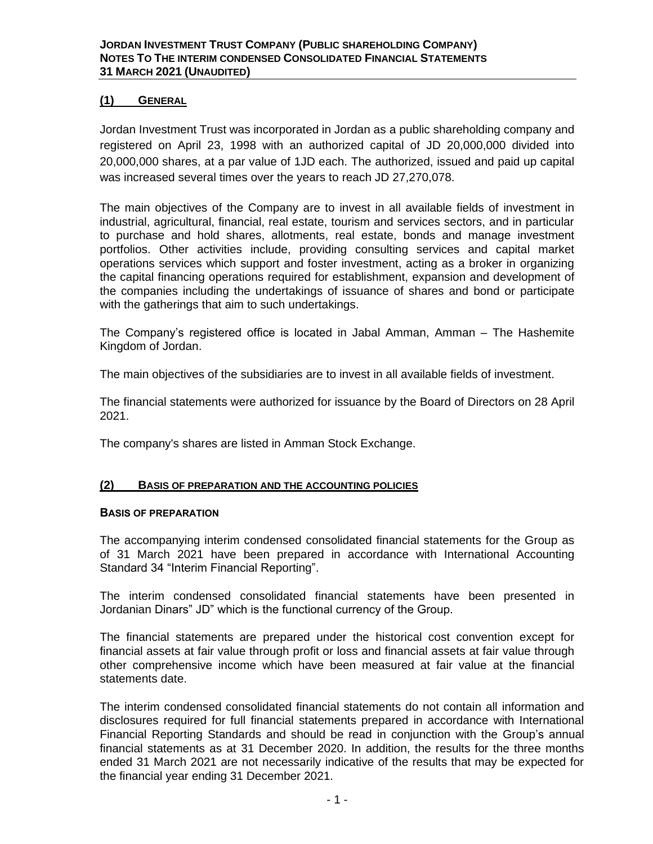## **(1) GENERAL**

Jordan Investment Trust was incorporated in Jordan as a public shareholding company and registered on April 23, 1998 with an authorized capital of JD 20,000,000 divided into 20,000,000 shares, at a par value of 1JD each. The authorized, issued and paid up capital was increased several times over the years to reach JD 27,270,078.

The main objectives of the Company are to invest in all available fields of investment in industrial, agricultural, financial, real estate, tourism and services sectors, and in particular to purchase and hold shares, allotments, real estate, bonds and manage investment portfolios. Other activities include, providing consulting services and capital market operations services which support and foster investment, acting as a broker in organizing the capital financing operations required for establishment, expansion and development of the companies including the undertakings of issuance of shares and bond or participate with the gatherings that aim to such undertakings.

The Company's registered office is located in Jabal Amman, Amman – The Hashemite Kingdom of Jordan.

The main objectives of the subsidiaries are to invest in all available fields of investment.

The financial statements were authorized for issuance by the Board of Directors on 28 April 2021.

The company's shares are listed in Amman Stock Exchange.

## **(2) BASIS OF PREPARATION AND THE ACCOUNTING POLICIES**

#### **BASIS OF PREPARATION**

The accompanying interim condensed consolidated financial statements for the Group as of 31 March 2021 have been prepared in accordance with International Accounting Standard 34 "Interim Financial Reporting".

The interim condensed consolidated financial statements have been presented in Jordanian Dinars" JD" which is the functional currency of the Group.

The financial statements are prepared under the historical cost convention except for financial assets at fair value through profit or loss and financial assets at fair value through other comprehensive income which have been measured at fair value at the financial statements date.

The interim condensed consolidated financial statements do not contain all information and disclosures required for full financial statements prepared in accordance with International Financial Reporting Standards and should be read in conjunction with the Group's annual financial statements as at 31 December 2020. In addition, the results for the three months ended 31 March 2021 are not necessarily indicative of the results that may be expected for the financial year ending 31 December 2021.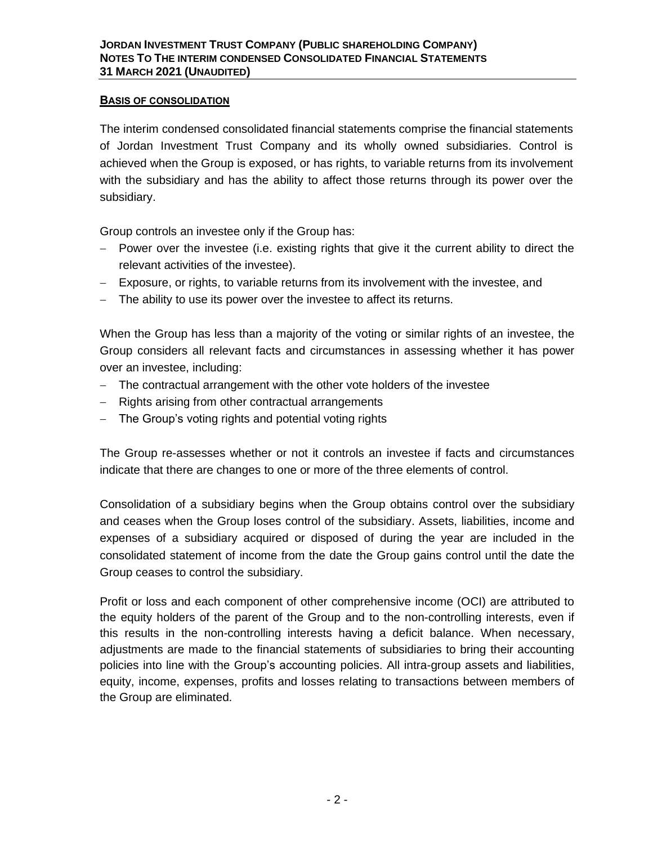### **BASIS OF CONSOLIDATION**

The interim condensed consolidated financial statements comprise the financial statements of Jordan Investment Trust Company and its wholly owned subsidiaries. Control is achieved when the Group is exposed, or has rights, to variable returns from its involvement with the subsidiary and has the ability to affect those returns through its power over the subsidiary.

Group controls an investee only if the Group has:

- − Power over the investee (i.e. existing rights that give it the current ability to direct the relevant activities of the investee).
- − Exposure, or rights, to variable returns from its involvement with the investee, and
- − The ability to use its power over the investee to affect its returns.

When the Group has less than a majority of the voting or similar rights of an investee, the Group considers all relevant facts and circumstances in assessing whether it has power over an investee, including:

- − The contractual arrangement with the other vote holders of the investee
- − Rights arising from other contractual arrangements
- − The Group's voting rights and potential voting rights

The Group re-assesses whether or not it controls an investee if facts and circumstances indicate that there are changes to one or more of the three elements of control.

Consolidation of a subsidiary begins when the Group obtains control over the subsidiary and ceases when the Group loses control of the subsidiary. Assets, liabilities, income and expenses of a subsidiary acquired or disposed of during the year are included in the consolidated statement of income from the date the Group gains control until the date the Group ceases to control the subsidiary.

Profit or loss and each component of other comprehensive income (OCI) are attributed to the equity holders of the parent of the Group and to the non-controlling interests, even if this results in the non-controlling interests having a deficit balance. When necessary, adjustments are made to the financial statements of subsidiaries to bring their accounting policies into line with the Group's accounting policies. All intra-group assets and liabilities, equity, income, expenses, profits and losses relating to transactions between members of the Group are eliminated.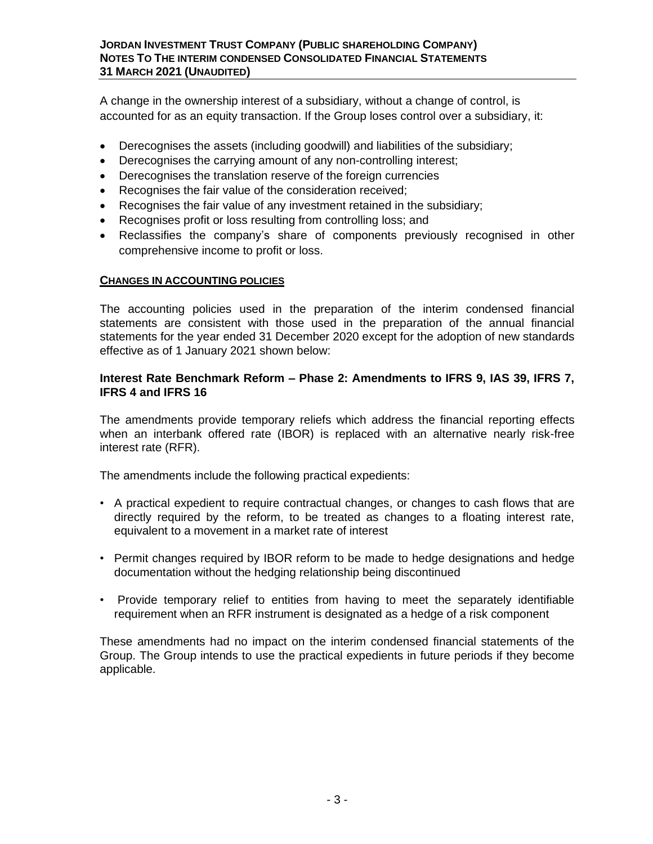### **JORDAN INVESTMENT TRUST COMPANY (PUBLIC SHAREHOLDING COMPANY) NOTES TO THE INTERIM CONDENSED CONSOLIDATED FINANCIAL STATEMENTS 31 MARCH 2021 (UNAUDITED)**

A change in the ownership interest of a subsidiary, without a change of control, is accounted for as an equity transaction. If the Group loses control over a subsidiary, it:

- Derecognises the assets (including goodwill) and liabilities of the subsidiary;
- Derecognises the carrying amount of any non-controlling interest;
- Derecognises the translation reserve of the foreign currencies
- Recognises the fair value of the consideration received;
- Recognises the fair value of any investment retained in the subsidiary;
- Recognises profit or loss resulting from controlling loss; and
- Reclassifies the company's share of components previously recognised in other comprehensive income to profit or loss.

### **CHANGES IN ACCOUNTING POLICIES**

The accounting policies used in the preparation of the interim condensed financial statements are consistent with those used in the preparation of the annual financial statements for the year ended 31 December 2020 except for the adoption of new standards effective as of 1 January 2021 shown below:

## **Interest Rate Benchmark Reform – Phase 2: Amendments to IFRS 9, IAS 39, IFRS 7, IFRS 4 and IFRS 16**

The amendments provide temporary reliefs which address the financial reporting effects when an interbank offered rate (IBOR) is replaced with an alternative nearly risk-free interest rate (RFR).

The amendments include the following practical expedients:

- A practical expedient to require contractual changes, or changes to cash flows that are directly required by the reform, to be treated as changes to a floating interest rate, equivalent to a movement in a market rate of interest
- Permit changes required by IBOR reform to be made to hedge designations and hedge documentation without the hedging relationship being discontinued
- Provide temporary relief to entities from having to meet the separately identifiable requirement when an RFR instrument is designated as a hedge of a risk component

These amendments had no impact on the interim condensed financial statements of the Group. The Group intends to use the practical expedients in future periods if they become applicable.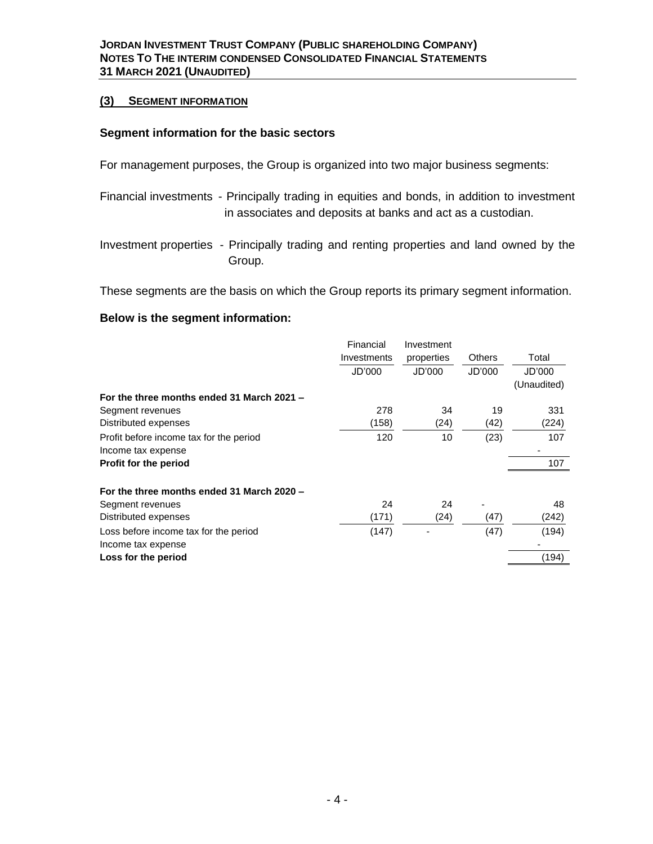#### **(3) SEGMENT INFORMATION**

### **Segment information for the basic sectors**

For management purposes, the Group is organized into two major business segments:

- Financial investments Principally trading in equities and bonds, in addition to investment in associates and deposits at banks and act as a custodian.
- Investment properties Principally trading and renting properties and land owned by the Group.

These segments are the basis on which the Group reports its primary segment information.

### **Below is the segment information:**

|                                            | Financial   | Investment |               |             |
|--------------------------------------------|-------------|------------|---------------|-------------|
|                                            | Investments | properties | <b>Others</b> | Total       |
|                                            | JD'000      | JD'000     | JD'000        | JD'000      |
|                                            |             |            |               | (Unaudited) |
| For the three months ended 31 March 2021 - |             |            |               |             |
| Segment revenues                           | 278         | 34         | 19            | 331         |
| Distributed expenses                       | (158)       | (24)       | (42)          | (224)       |
| Profit before income tax for the period    | 120         | 10         | (23)          | 107         |
| Income tax expense                         |             |            |               |             |
| <b>Profit for the period</b>               |             |            |               | 107         |
|                                            |             |            |               |             |
| For the three months ended 31 March 2020 - |             |            |               |             |
| Segment revenues                           | 24          | 24         |               | 48          |
| Distributed expenses                       | (171)       | (24)       | (47)          | (242)       |
| Loss before income tax for the period      | (147)       |            | (47)          | (194)       |
| Income tax expense                         |             |            |               |             |
| Loss for the period                        |             |            |               | (194)       |
|                                            |             |            |               |             |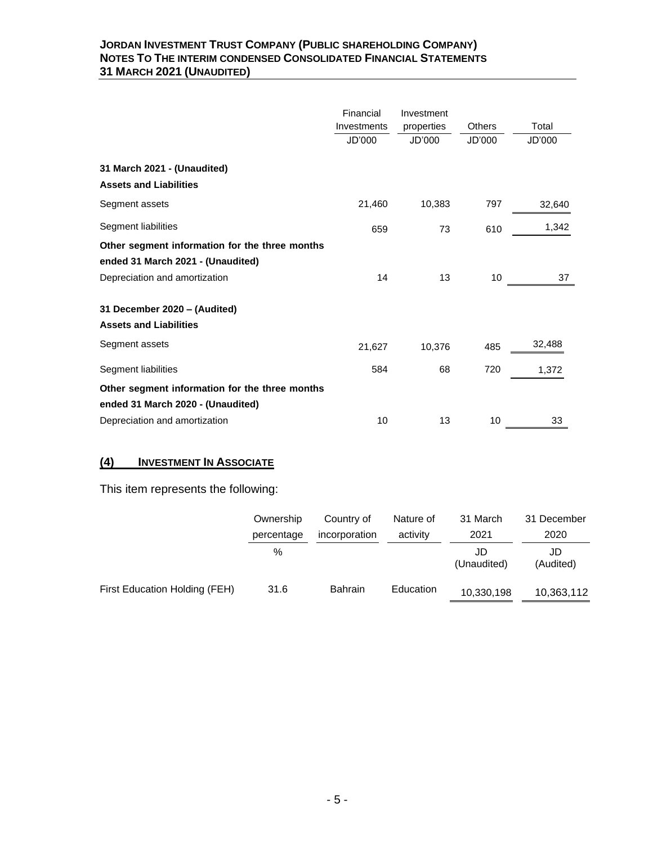### **JORDAN INVESTMENT TRUST COMPANY (PUBLIC SHAREHOLDING COMPANY) NOTES TO THE INTERIM CONDENSED CONSOLIDATED FINANCIAL STATEMENTS 31 MARCH 2021 (UNAUDITED)**

|                                                               | Financial<br>Investments<br>JD'000 | Investment<br>properties<br>JD'000 | Others<br>JD'000 | Total<br>JD'000 |
|---------------------------------------------------------------|------------------------------------|------------------------------------|------------------|-----------------|
| 31 March 2021 - (Unaudited)                                   |                                    |                                    |                  |                 |
| <b>Assets and Liabilities</b>                                 |                                    |                                    |                  |                 |
| Segment assets                                                | 21,460                             | 10,383                             | 797              | 32,640          |
| Segment liabilities                                           | 659                                | 73                                 | 610              | 1,342           |
| Other segment information for the three months                |                                    |                                    |                  |                 |
| ended 31 March 2021 - (Unaudited)                             |                                    |                                    |                  |                 |
| Depreciation and amortization                                 | 14                                 | 13                                 | 10               | 37              |
| 31 December 2020 - (Audited)<br><b>Assets and Liabilities</b> |                                    |                                    |                  |                 |
|                                                               |                                    |                                    |                  |                 |
| Segment assets                                                | 21,627                             | 10,376                             | 485              | 32,488          |
| Segment liabilities                                           | 584                                | 68                                 | 720              | 1,372           |
| Other segment information for the three months                |                                    |                                    |                  |                 |
| ended 31 March 2020 - (Unaudited)                             |                                    |                                    |                  |                 |
| Depreciation and amortization                                 | 10                                 | 13                                 | 10               | 33              |

# **(4) INVESTMENT IN ASSOCIATE**

This item represents the following:

|                               | Ownership  | Country of     | Nature of | 31 March           | 31 December     |
|-------------------------------|------------|----------------|-----------|--------------------|-----------------|
|                               | percentage | incorporation  | activity  | 2021               | 2020            |
|                               | %          |                |           | JD.<br>(Unaudited) | JD<br>(Audited) |
| First Education Holding (FEH) | 31.6       | <b>Bahrain</b> | Education | 10,330,198         | 10,363,112      |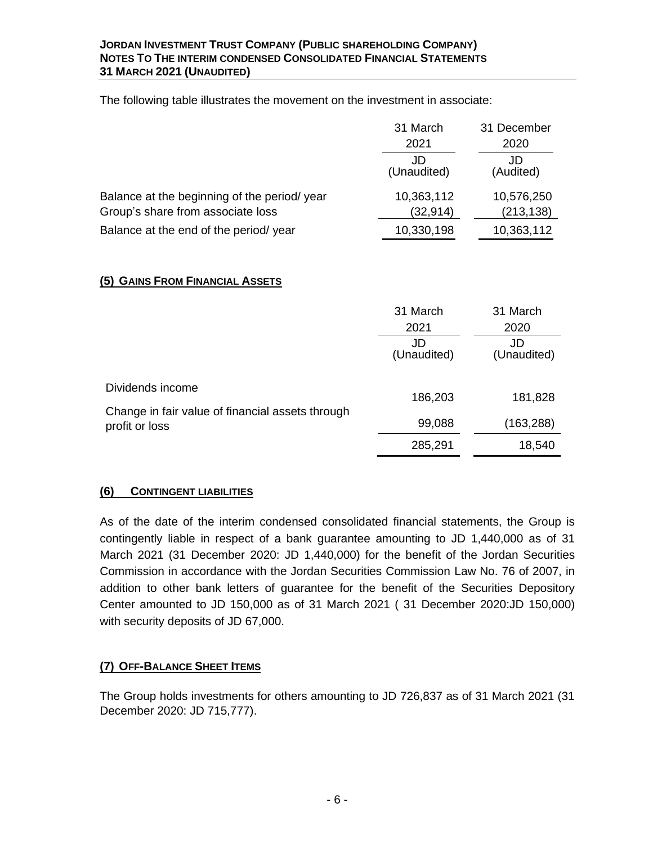The following table illustrates the movement on the investment in associate:

|                                             | 31 March<br>2021  | 31 December<br>2020 |
|---------------------------------------------|-------------------|---------------------|
|                                             | JD<br>(Unaudited) | JD<br>(Audited)     |
| Balance at the beginning of the period/year | 10,363,112        | 10,576,250          |
| Group's share from associate loss           | (32, 914)         | (213, 138)          |
| Balance at the end of the period/year       | 10,330,198        | 10,363,112          |

# **(5) GAINS FROM FINANCIAL ASSETS**

|                                                                    | 31 March<br>2021  | 31 March<br>2020  |
|--------------------------------------------------------------------|-------------------|-------------------|
|                                                                    | JD<br>(Unaudited) | JD<br>(Unaudited) |
| Dividends income                                                   | 186,203           | 181,828           |
| Change in fair value of financial assets through<br>profit or loss | 99,088            | (163, 288)        |
|                                                                    | 285,291           | 18,540            |

# **(6) CONTINGENT LIABILITIES**

As of the date of the interim condensed consolidated financial statements, the Group is contingently liable in respect of a bank guarantee amounting to JD 1,440,000 as of 31 March 2021 (31 December 2020: JD 1,440,000) for the benefit of the Jordan Securities Commission in accordance with the Jordan Securities Commission Law No. 76 of 2007, in addition to other bank letters of guarantee for the benefit of the Securities Depository Center amounted to JD 150,000 as of 31 March 2021 ( 31 December 2020:JD 150,000) with security deposits of JD 67,000.

# **(7) OFF-BALANCE SHEET ITEMS**

The Group holds investments for others amounting to JD 726,837 as of 31 March 2021 (31 December 2020: JD 715,777).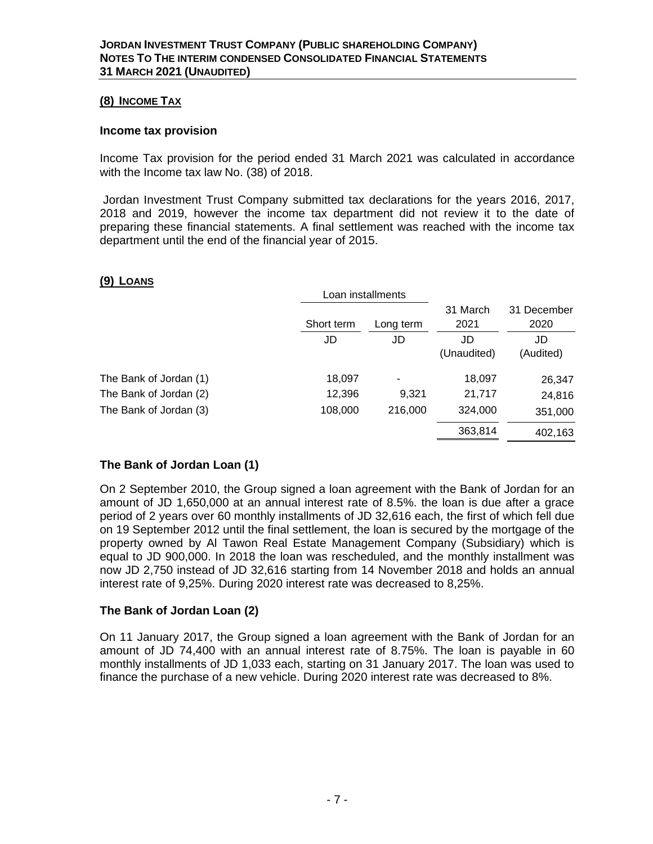### **(8) INCOME TAX**

#### **Income tax provision**

Income Tax provision for the period ended 31 March 2021 was calculated in accordance with the Income tax law No. (38) of 2018.

Jordan Investment Trust Company submitted tax declarations for the years 2016, 2017, 2018 and 2019, however the income tax department did not review it to the date of preparing these financial statements. A final settlement was reached with the income tax department until the end of the financial year of 2015.

### **(9) LOANS**

|                        |            | Loan installments |                  |                     |
|------------------------|------------|-------------------|------------------|---------------------|
|                        | Short term | Long term         | 31 March<br>2021 | 31 December<br>2020 |
|                        | JD         | JD                | JD               | JD                  |
|                        |            |                   | (Unaudited)      | (Audited)           |
| The Bank of Jordan (1) | 18,097     | ۰                 | 18,097           | 26,347              |
| The Bank of Jordan (2) | 12,396     | 9.321             | 21,717           | 24,816              |
| The Bank of Jordan (3) | 108,000    | 216,000           | 324,000          | 351,000             |
|                        |            |                   | 363,814          | 402,163             |

## **The Bank of Jordan Loan (1)**

On 2 September 2010, the Group signed a loan agreement with the Bank of Jordan for an amount of JD 1,650,000 at an annual interest rate of 8.5%. the loan is due after a grace period of 2 years over 60 monthly installments of JD 32,616 each, the first of which fell due on 19 September 2012 until the final settlement, the loan is secured by the mortgage of the property owned by Al Tawon Real Estate Management Company (Subsidiary) which is equal to JD 900,000. In 2018 the loan was rescheduled, and the monthly installment was now JD 2,750 instead of JD 32,616 starting from 14 November 2018 and holds an annual interest rate of 9,25%. During 2020 interest rate was decreased to 8,25%.

## **The Bank of Jordan Loan (2)**

On 11 January 2017, the Group signed a loan agreement with the Bank of Jordan for an amount of JD 74,400 with an annual interest rate of 8.75%. The loan is payable in 60 monthly installments of JD 1,033 each, starting on 31 January 2017. The loan was used to finance the purchase of a new vehicle. During 2020 interest rate was decreased to 8%.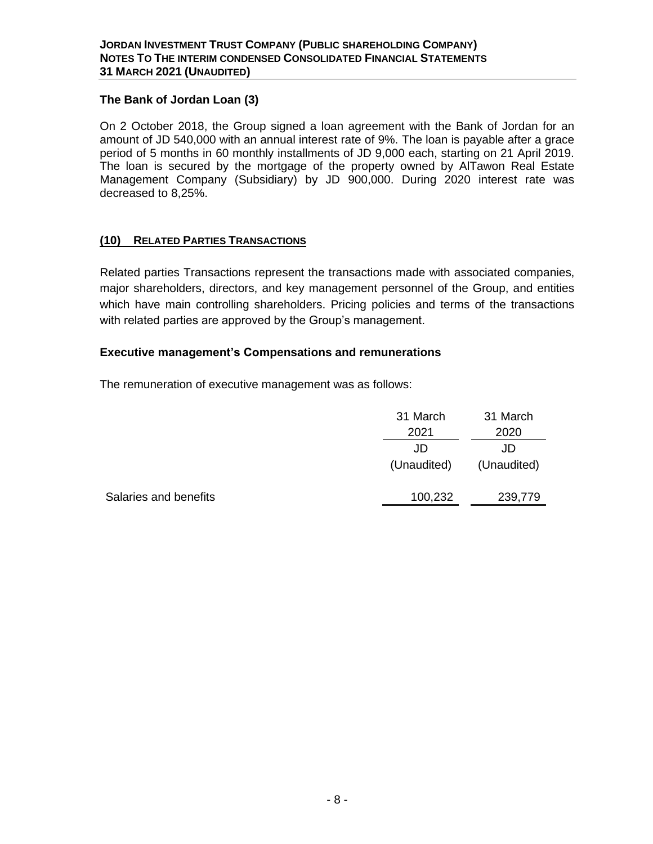# **The Bank of Jordan Loan (3)**

On 2 October 2018, the Group signed a loan agreement with the Bank of Jordan for an amount of JD 540,000 with an annual interest rate of 9%. The loan is payable after a grace period of 5 months in 60 monthly installments of JD 9,000 each, starting on 21 April 2019. The loan is secured by the mortgage of the property owned by AlTawon Real Estate Management Company (Subsidiary) by JD 900,000. During 2020 interest rate was decreased to 8,25%.

# **(10) RELATED PARTIES TRANSACTIONS**

Related parties Transactions represent the transactions made with associated companies, major shareholders, directors, and key management personnel of the Group, and entities which have main controlling shareholders. Pricing policies and terms of the transactions with related parties are approved by the Group's management.

## **Executive management's Compensations and remunerations**

The remuneration of executive management was as follows:

|                       | 31 March    | 31 March    |
|-----------------------|-------------|-------------|
|                       | 2021        | 2020        |
|                       | JD          | JD          |
|                       | (Unaudited) | (Unaudited) |
| Salaries and benefits | 100,232     | 239,779     |